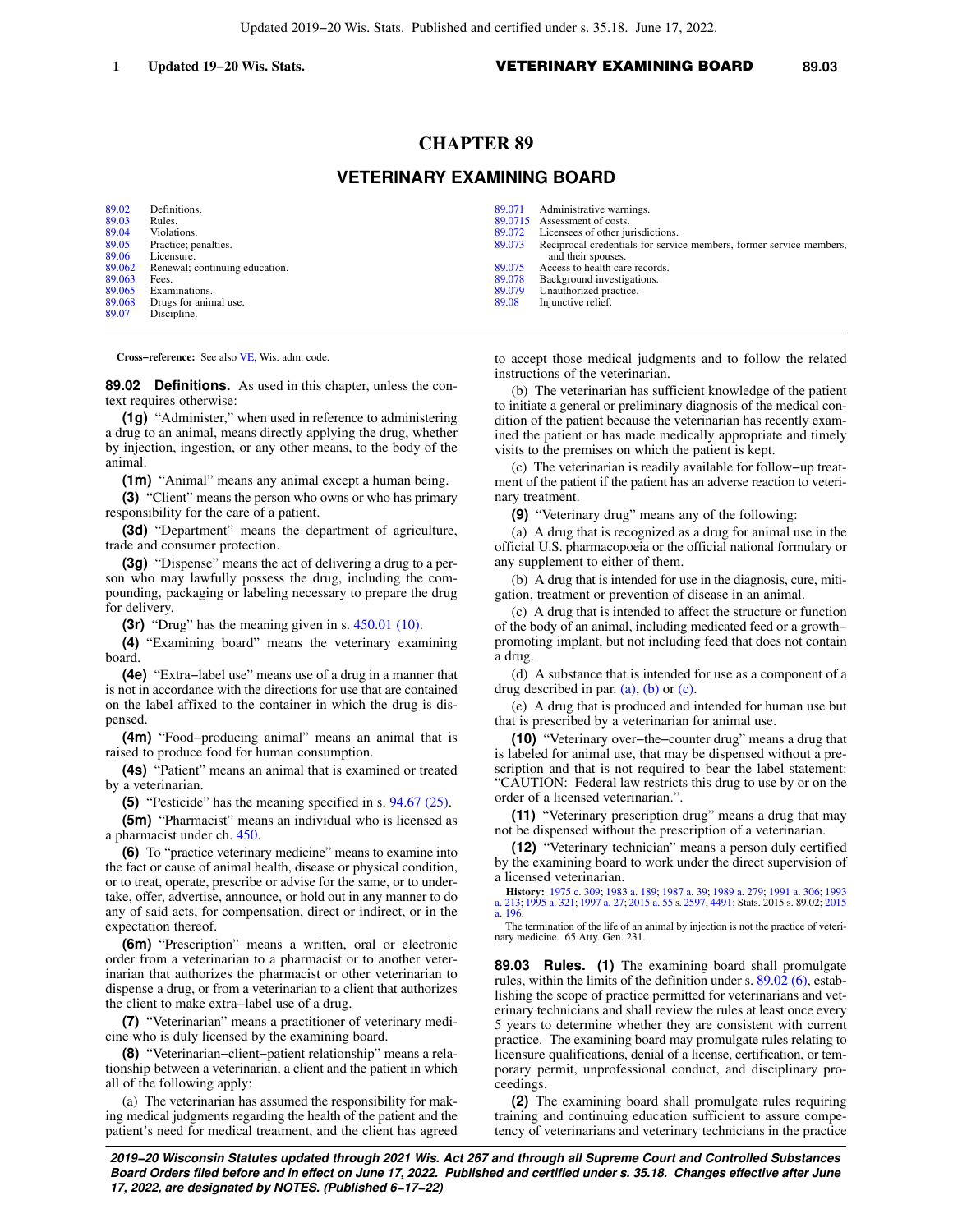## **CHAPTER 89**

# **VETERINARY EXAMINING BOARD**

[89.02](https://docs.legis.wisconsin.gov/document/statutes/89.02) Definitions.<br>89.03 Rules. [89.03](https://docs.legis.wisconsin.gov/document/statutes/89.03) Rules.<br>89.04 Violat [89.04](https://docs.legis.wisconsin.gov/document/statutes/89.04) Violations.<br>89.05 Practice: p Practice; penalties. [89.06](https://docs.legis.wisconsin.gov/document/statutes/89.06) Licensure.<br>89.062 Renewal: Renewal; continuing education. [89.063](https://docs.legis.wisconsin.gov/document/statutes/89.063) Fees.<br>89.065 Exam [89.065](https://docs.legis.wisconsin.gov/document/statutes/89.065) Examinations.<br>89.068 Drugs for anim [89.068](https://docs.legis.wisconsin.gov/document/statutes/89.068) Drugs for animal use.<br>89.07 Discipline. Discipline.

|        | 89.071 Administrative warnings.                                     |
|--------|---------------------------------------------------------------------|
|        | 89.0715 Assessment of costs.                                        |
| 89,072 | Licensees of other jurisdictions.                                   |
| 89.073 | Reciprocal credentials for service members, former service members, |
|        | and their spouses.                                                  |
| 89,075 | Access to health care records.                                      |
| 89.078 | Background investigations.                                          |
| 89,079 | Unauthorized practice.                                              |
| 89.08  | Injunctive relief.                                                  |
|        |                                                                     |

**Cross−reference:** See also [VE](https://docs.legis.wisconsin.gov/document/administrativecode/VE), Wis. adm. code.

**89.02 Definitions.** As used in this chapter, unless the context requires otherwise:

**(1g)** "Administer," when used in reference to administering a drug to an animal, means directly applying the drug, whether by injection, ingestion, or any other means, to the body of the animal.

**(1m)** "Animal" means any animal except a human being.

**(3)** "Client" means the person who owns or who has primary responsibility for the care of a patient.

**(3d)** "Department" means the department of agriculture, trade and consumer protection.

**(3g)** "Dispense" means the act of delivering a drug to a person who may lawfully possess the drug, including the compounding, packaging or labeling necessary to prepare the drug for delivery.

**(3r)** "Drug" has the meaning given in s. [450.01 \(10\).](https://docs.legis.wisconsin.gov/document/statutes/450.01(10))

**(4)** "Examining board" means the veterinary examining board.

**(4e)** "Extra−label use" means use of a drug in a manner that is not in accordance with the directions for use that are contained on the label affixed to the container in which the drug is dispensed.

**(4m)** "Food−producing animal" means an animal that is raised to produce food for human consumption.

**(4s)** "Patient" means an animal that is examined or treated by a veterinarian.

**(5)** "Pesticide" has the meaning specified in s. [94.67 \(25\)](https://docs.legis.wisconsin.gov/document/statutes/94.67(25)).

**(5m)** "Pharmacist" means an individual who is licensed as a pharmacist under ch. [450.](https://docs.legis.wisconsin.gov/document/statutes/ch.%20450)

**(6)** To "practice veterinary medicine" means to examine into the fact or cause of animal health, disease or physical condition, or to treat, operate, prescribe or advise for the same, or to undertake, offer, advertise, announce, or hold out in any manner to do any of said acts, for compensation, direct or indirect, or in the expectation thereof.

**(6m)** "Prescription" means a written, oral or electronic order from a veterinarian to a pharmacist or to another veterinarian that authorizes the pharmacist or other veterinarian to dispense a drug, or from a veterinarian to a client that authorizes the client to make extra−label use of a drug.

**(7)** "Veterinarian" means a practitioner of veterinary medicine who is duly licensed by the examining board.

**(8)** "Veterinarian−client−patient relationship" means a relationship between a veterinarian, a client and the patient in which all of the following apply:

(a) The veterinarian has assumed the responsibility for making medical judgments regarding the health of the patient and the patient's need for medical treatment, and the client has agreed to accept those medical judgments and to follow the related instructions of the veterinarian.

(b) The veterinarian has sufficient knowledge of the patient to initiate a general or preliminary diagnosis of the medical condition of the patient because the veterinarian has recently examined the patient or has made medically appropriate and timely visits to the premises on which the patient is kept.

(c) The veterinarian is readily available for follow−up treatment of the patient if the patient has an adverse reaction to veterinary treatment.

**(9)** "Veterinary drug" means any of the following:

(a) A drug that is recognized as a drug for animal use in the official U.S. pharmacopoeia or the official national formulary or any supplement to either of them.

(b) A drug that is intended for use in the diagnosis, cure, mitigation, treatment or prevention of disease in an animal.

(c) A drug that is intended to affect the structure or function of the body of an animal, including medicated feed or a growth− promoting implant, but not including feed that does not contain a drug.

(d) A substance that is intended for use as a component of a drug described in par.  $(a)$ ,  $(b)$  or  $(c)$ .

(e) A drug that is produced and intended for human use but that is prescribed by a veterinarian for animal use.

**(10)** "Veterinary over−the−counter drug" means a drug that is labeled for animal use, that may be dispensed without a prescription and that is not required to bear the label statement: "CAUTION: Federal law restricts this drug to use by or on the order of a licensed veterinarian.".

**(11)** "Veterinary prescription drug" means a drug that may not be dispensed without the prescription of a veterinarian.

**(12)** "Veterinary technician" means a person duly certified by the examining board to work under the direct supervision of a licensed veterinarian.

**History:** [1975 c. 309;](https://docs.legis.wisconsin.gov/document/acts/1975/309) [1983 a. 189;](https://docs.legis.wisconsin.gov/document/acts/1983/189) [1987 a. 39;](https://docs.legis.wisconsin.gov/document/acts/1987/39) [1989 a. 279;](https://docs.legis.wisconsin.gov/document/acts/1989/279) [1991 a. 306;](https://docs.legis.wisconsin.gov/document/acts/1991/306) [1993](https://docs.legis.wisconsin.gov/document/acts/1993/213) [a. 213;](https://docs.legis.wisconsin.gov/document/acts/1993/213) [1995 a. 321;](https://docs.legis.wisconsin.gov/document/acts/1995/321) [1997 a. 27](https://docs.legis.wisconsin.gov/document/acts/1997/27); [2015 a. 55](https://docs.legis.wisconsin.gov/document/acts/2015/55) s. [2597,](https://docs.legis.wisconsin.gov/document/acts/2015/55,%20s.%202597) [4491;](https://docs.legis.wisconsin.gov/document/acts/2015/55,%20s.%204491) Stats. 2015 s. 89.02; [2015](https://docs.legis.wisconsin.gov/document/acts/2015/196) [a. 196](https://docs.legis.wisconsin.gov/document/acts/2015/196).

The termination of the life of an animal by injection is not the practice of veterinary medicine. 65 Atty. Gen. 231.

**89.03 Rules. (1)** The examining board shall promulgate rules, within the limits of the definition under s. [89.02 \(6\),](https://docs.legis.wisconsin.gov/document/statutes/89.02(6)) establishing the scope of practice permitted for veterinarians and veterinary technicians and shall review the rules at least once every 5 years to determine whether they are consistent with current practice. The examining board may promulgate rules relating to licensure qualifications, denial of a license, certification, or temporary permit, unprofessional conduct, and disciplinary proceedings.

**(2)** The examining board shall promulgate rules requiring training and continuing education sufficient to assure competency of veterinarians and veterinary technicians in the practice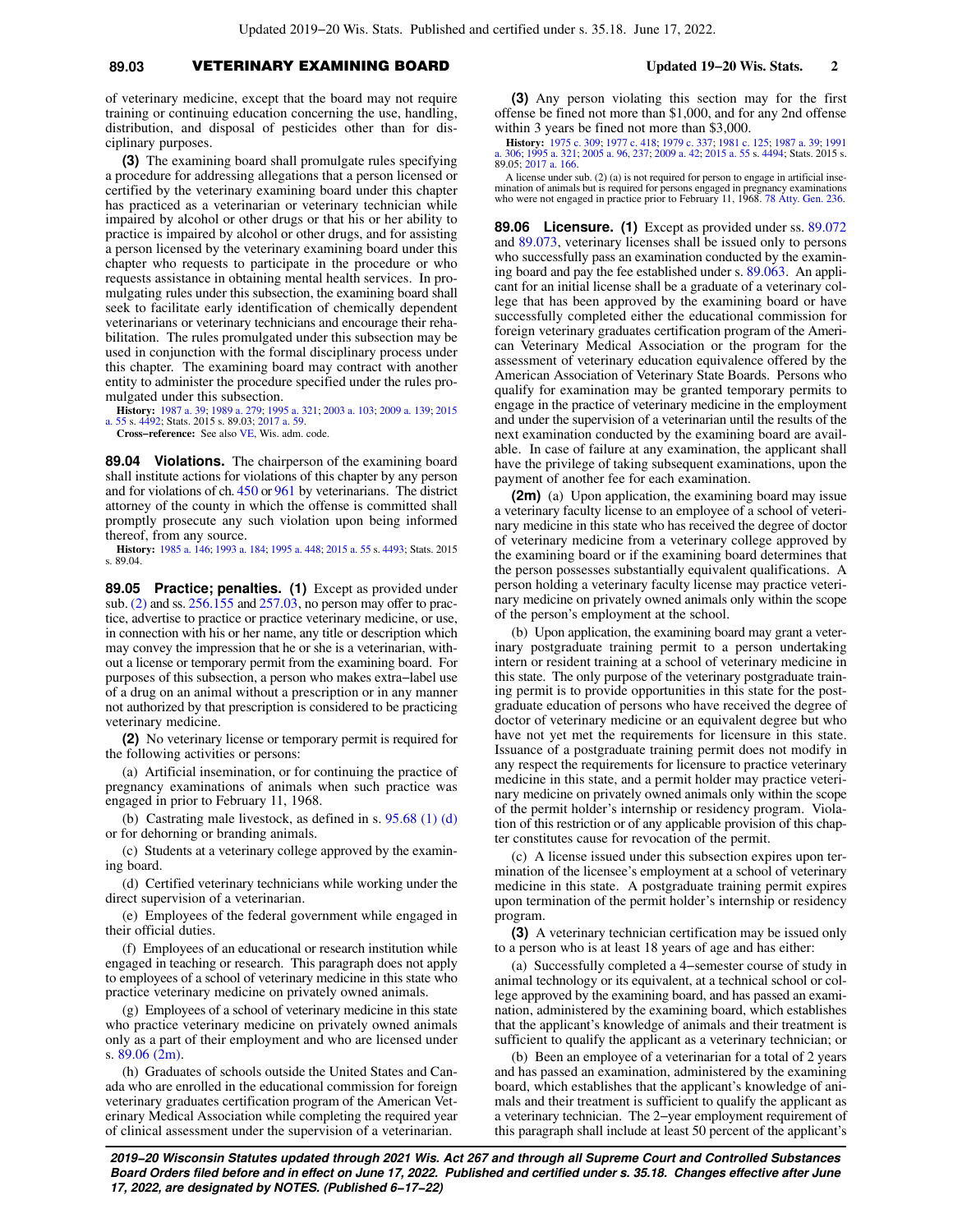## **89.03** VETERINARY EXAMINING BOARD **Updated 19−20 Wis. Stats. 2**

of veterinary medicine, except that the board may not require training or continuing education concerning the use, handling, distribution, and disposal of pesticides other than for disciplinary purposes.

**(3)** The examining board shall promulgate rules specifying a procedure for addressing allegations that a person licensed or certified by the veterinary examining board under this chapter has practiced as a veterinarian or veterinary technician while impaired by alcohol or other drugs or that his or her ability to practice is impaired by alcohol or other drugs, and for assisting a person licensed by the veterinary examining board under this chapter who requests to participate in the procedure or who requests assistance in obtaining mental health services. In promulgating rules under this subsection, the examining board shall seek to facilitate early identification of chemically dependent veterinarians or veterinary technicians and encourage their rehabilitation. The rules promulgated under this subsection may be used in conjunction with the formal disciplinary process under this chapter. The examining board may contract with another entity to administer the procedure specified under the rules promulgated under this subsection.

**History:** [1987 a. 39](https://docs.legis.wisconsin.gov/document/acts/1987/39); [1989 a. 279](https://docs.legis.wisconsin.gov/document/acts/1989/279); [1995 a. 321](https://docs.legis.wisconsin.gov/document/acts/1995/321); [2003 a. 103](https://docs.legis.wisconsin.gov/document/acts/2003/103); [2009 a. 139;](https://docs.legis.wisconsin.gov/document/acts/2009/139) [2015](https://docs.legis.wisconsin.gov/document/acts/2015/55) [a. 55](https://docs.legis.wisconsin.gov/document/acts/2015/55) s. [4492](https://docs.legis.wisconsin.gov/document/acts/2015/55,%20s.%204492); Stats. 2015 s. 89.03; [2017 a. 59](https://docs.legis.wisconsin.gov/document/acts/2017/59).

**Cross−reference:** See also [VE](https://docs.legis.wisconsin.gov/document/administrativecode/VE), Wis. adm. code.

**89.04 Violations.** The chairperson of the examining board shall institute actions for violations of this chapter by any person and for violations of ch. [450](https://docs.legis.wisconsin.gov/document/statutes/ch.%20450) or [961](https://docs.legis.wisconsin.gov/document/statutes/ch.%20961) by veterinarians. The district attorney of the county in which the offense is committed shall promptly prosecute any such violation upon being informed thereof, from any source.

**History:** [1985 a. 146;](https://docs.legis.wisconsin.gov/document/acts/1985/146) [1993 a. 184;](https://docs.legis.wisconsin.gov/document/acts/1993/184) [1995 a. 448](https://docs.legis.wisconsin.gov/document/acts/1995/448); [2015 a. 55](https://docs.legis.wisconsin.gov/document/acts/2015/55) s. [4493;](https://docs.legis.wisconsin.gov/document/acts/2015/55,%20s.%204493) Stats. 2015 s. 89.04.

**89.05 Practice; penalties. (1)** Except as provided under sub. [\(2\)](https://docs.legis.wisconsin.gov/document/statutes/89.05(2)) and ss. [256.155](https://docs.legis.wisconsin.gov/document/statutes/256.155) and [257.03,](https://docs.legis.wisconsin.gov/document/statutes/257.03) no person may offer to practice, advertise to practice or practice veterinary medicine, or use, in connection with his or her name, any title or description which may convey the impression that he or she is a veterinarian, without a license or temporary permit from the examining board. For purposes of this subsection, a person who makes extra−label use of a drug on an animal without a prescription or in any manner not authorized by that prescription is considered to be practicing veterinary medicine.

**(2)** No veterinary license or temporary permit is required for the following activities or persons:

(a) Artificial insemination, or for continuing the practice of pregnancy examinations of animals when such practice was engaged in prior to February 11, 1968.

(b) Castrating male livestock, as defined in s. [95.68 \(1\) \(d\)](https://docs.legis.wisconsin.gov/document/statutes/95.68(1)(d)) or for dehorning or branding animals.

(c) Students at a veterinary college approved by the examining board.

(d) Certified veterinary technicians while working under the direct supervision of a veterinarian.

(e) Employees of the federal government while engaged in their official duties.

(f) Employees of an educational or research institution while engaged in teaching or research. This paragraph does not apply to employees of a school of veterinary medicine in this state who practice veterinary medicine on privately owned animals.

(g) Employees of a school of veterinary medicine in this state who practice veterinary medicine on privately owned animals only as a part of their employment and who are licensed under s. [89.06 \(2m\)](https://docs.legis.wisconsin.gov/document/statutes/89.06(2m)).

(h) Graduates of schools outside the United States and Canada who are enrolled in the educational commission for foreign veterinary graduates certification program of the American Veterinary Medical Association while completing the required year of clinical assessment under the supervision of a veterinarian.

**(3)** Any person violating this section may for the first offense be fined not more than \$1,000, and for any 2nd offense within 3 years be fined not more than \$3,000.

**History:** [1975 c. 309;](https://docs.legis.wisconsin.gov/document/acts/1975/309) [1977 c. 418;](https://docs.legis.wisconsin.gov/document/acts/1977/418) [1979 c. 337](https://docs.legis.wisconsin.gov/document/acts/1979/337); [1981 c. 125](https://docs.legis.wisconsin.gov/document/acts/1981/125); [1987 a. 39;](https://docs.legis.wisconsin.gov/document/acts/1987/39) [1991](https://docs.legis.wisconsin.gov/document/acts/1991/306) [a. 306;](https://docs.legis.wisconsin.gov/document/acts/1991/306) [1995 a. 321;](https://docs.legis.wisconsin.gov/document/acts/1995/321) [2005 a. 96](https://docs.legis.wisconsin.gov/document/acts/2005/96), [237](https://docs.legis.wisconsin.gov/document/acts/2005/237); [2009 a. 42;](https://docs.legis.wisconsin.gov/document/acts/2009/42) [2015 a. 55](https://docs.legis.wisconsin.gov/document/acts/2015/55) s. [4494;](https://docs.legis.wisconsin.gov/document/acts/2015/55,%20s.%204494) Stats. 2015 s. 89.05; [2017 a. 166](https://docs.legis.wisconsin.gov/document/acts/2017/166).

A license under sub. (2) (a) is not required for person to engage in artificial insemination of animals but is required for persons engaged in pregnancy examinations who were not engaged in practice prior to February 11, 1968. [78 Atty. Gen. 236.](https://docs.legis.wisconsin.gov/document/oag/vol78-236)

**89.06 Licensure. (1)** Except as provided under ss. [89.072](https://docs.legis.wisconsin.gov/document/statutes/89.072) and [89.073](https://docs.legis.wisconsin.gov/document/statutes/89.073), veterinary licenses shall be issued only to persons who successfully pass an examination conducted by the examining board and pay the fee established under s. [89.063.](https://docs.legis.wisconsin.gov/document/statutes/89.063) An applicant for an initial license shall be a graduate of a veterinary college that has been approved by the examining board or have successfully completed either the educational commission for foreign veterinary graduates certification program of the American Veterinary Medical Association or the program for the assessment of veterinary education equivalence offered by the American Association of Veterinary State Boards. Persons who qualify for examination may be granted temporary permits to engage in the practice of veterinary medicine in the employment and under the supervision of a veterinarian until the results of the next examination conducted by the examining board are available. In case of failure at any examination, the applicant shall have the privilege of taking subsequent examinations, upon the payment of another fee for each examination.

**(2m)** (a) Upon application, the examining board may issue a veterinary faculty license to an employee of a school of veterinary medicine in this state who has received the degree of doctor of veterinary medicine from a veterinary college approved by the examining board or if the examining board determines that the person possesses substantially equivalent qualifications. A person holding a veterinary faculty license may practice veterinary medicine on privately owned animals only within the scope of the person's employment at the school.

(b) Upon application, the examining board may grant a veterinary postgraduate training permit to a person undertaking intern or resident training at a school of veterinary medicine in this state. The only purpose of the veterinary postgraduate training permit is to provide opportunities in this state for the postgraduate education of persons who have received the degree of doctor of veterinary medicine or an equivalent degree but who have not yet met the requirements for licensure in this state. Issuance of a postgraduate training permit does not modify in any respect the requirements for licensure to practice veterinary medicine in this state, and a permit holder may practice veterinary medicine on privately owned animals only within the scope of the permit holder's internship or residency program. Violation of this restriction or of any applicable provision of this chapter constitutes cause for revocation of the permit.

(c) A license issued under this subsection expires upon termination of the licensee's employment at a school of veterinary medicine in this state. A postgraduate training permit expires upon termination of the permit holder's internship or residency program.

**(3)** A veterinary technician certification may be issued only to a person who is at least 18 years of age and has either:

(a) Successfully completed a 4−semester course of study in animal technology or its equivalent, at a technical school or college approved by the examining board, and has passed an examination, administered by the examining board, which establishes that the applicant's knowledge of animals and their treatment is sufficient to qualify the applicant as a veterinary technician; or

(b) Been an employee of a veterinarian for a total of 2 years and has passed an examination, administered by the examining board, which establishes that the applicant's knowledge of animals and their treatment is sufficient to qualify the applicant as a veterinary technician. The 2−year employment requirement of this paragraph shall include at least 50 percent of the applicant's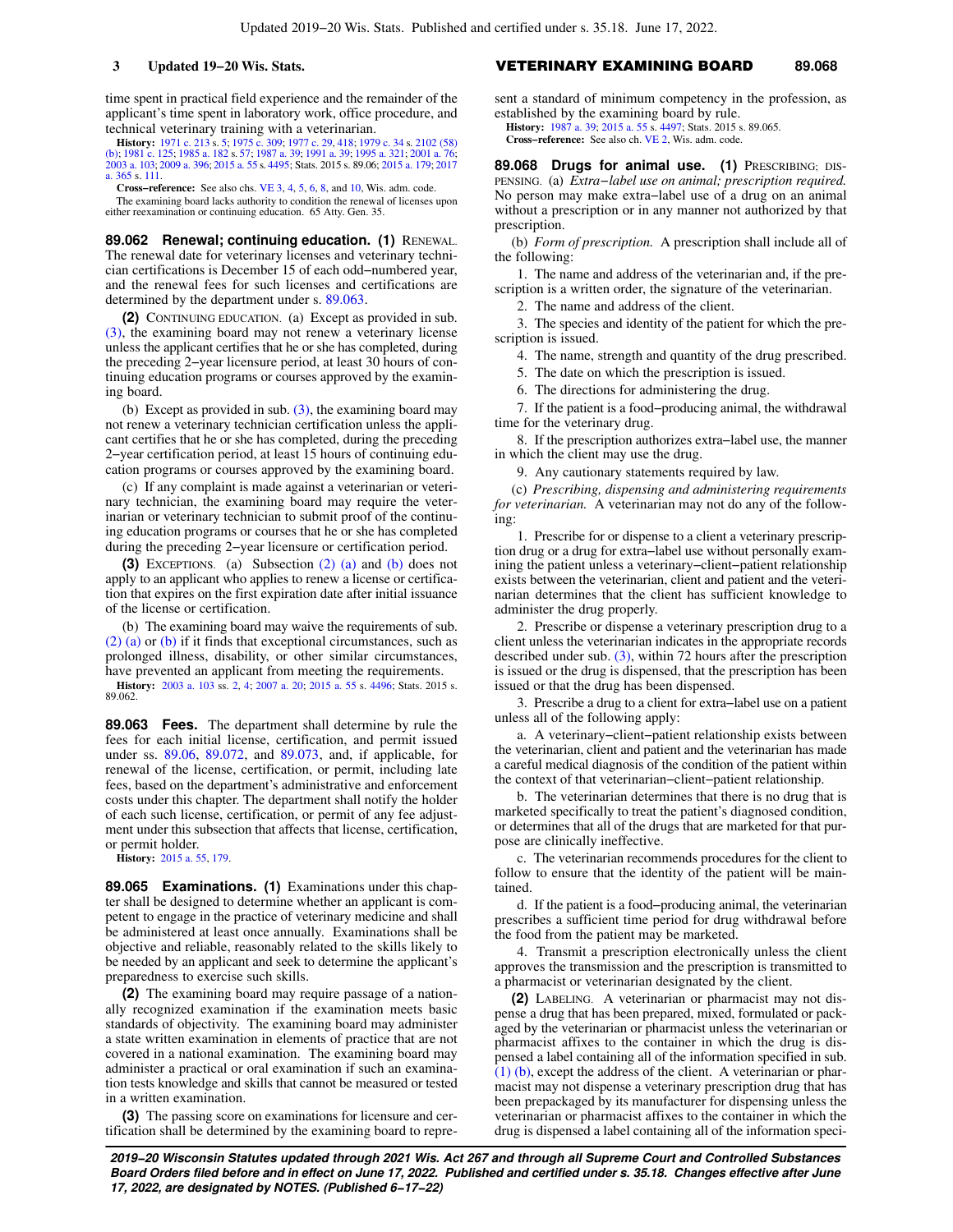time spent in practical field experience and the remainder of the applicant's time spent in laboratory work, office procedure, and technical veterinary training with a veterinarian.

**History:** [1971 c. 213](https://docs.legis.wisconsin.gov/document/acts/1971/213) s. [5;](https://docs.legis.wisconsin.gov/document/acts/1971/213,%20s.%205) [1975 c. 309](https://docs.legis.wisconsin.gov/document/acts/1975/309); [1977 c. 29,](https://docs.legis.wisconsin.gov/document/acts/1977/29) [418](https://docs.legis.wisconsin.gov/document/acts/1977/418); [1979 c. 34](https://docs.legis.wisconsin.gov/document/acts/1979/34) s. [2102 \(58\)](https://docs.legis.wisconsin.gov/document/acts/1979/34,%20s.%202102) [\(b\);](https://docs.legis.wisconsin.gov/document/acts/1979/34,%20s.%202102) [1981 c. 125](https://docs.legis.wisconsin.gov/document/acts/1981/125); [1985 a. 182](https://docs.legis.wisconsin.gov/document/acts/1985/182) s. [57](https://docs.legis.wisconsin.gov/document/acts/1985/182,%20s.%2057); [1987 a. 39;](https://docs.legis.wisconsin.gov/document/acts/1987/39) [1991 a. 39;](https://docs.legis.wisconsin.gov/document/acts/1991/39) [1995 a. 321](https://docs.legis.wisconsin.gov/document/acts/1995/321); [2001 a. 76](https://docs.legis.wisconsin.gov/document/acts/2001/76); [2003 a. 103](https://docs.legis.wisconsin.gov/document/acts/2003/103); [2009 a. 396](https://docs.legis.wisconsin.gov/document/acts/2009/396); [2015 a. 55](https://docs.legis.wisconsin.gov/document/acts/2015/55) s. [4495](https://docs.legis.wisconsin.gov/document/acts/2015/55,%20s.%204495); Stats. 2015 s. 89.06; [2015 a. 179](https://docs.legis.wisconsin.gov/document/acts/2015/179); [2017](https://docs.legis.wisconsin.gov/document/acts/2017/365) [a. 365](https://docs.legis.wisconsin.gov/document/acts/2017/365) s. [111.](https://docs.legis.wisconsin.gov/document/acts/2017/365,%20s.%20111)

**Cross−reference:** See also chs. [VE 3](https://docs.legis.wisconsin.gov/document/administrativecode/ch.%20VE%203), [4](https://docs.legis.wisconsin.gov/document/administrativecode/ch.%20VE%204), [5](https://docs.legis.wisconsin.gov/document/administrativecode/ch.%20VE%205), [6,](https://docs.legis.wisconsin.gov/document/administrativecode/ch.%20VE%206) [8,](https://docs.legis.wisconsin.gov/document/administrativecode/ch.%20VE%208) and [10,](https://docs.legis.wisconsin.gov/document/administrativecode/ch.%20VE%2010) Wis. adm. code.

The examining board lacks authority to condition the renewal of licenses upon either reexamination or continuing education. 65 Atty. Gen. 35.

**89.062 Renewal; continuing education. (1)** RENEWAL. The renewal date for veterinary licenses and veterinary technician certifications is December 15 of each odd−numbered year, and the renewal fees for such licenses and certifications are determined by the department under s. [89.063](https://docs.legis.wisconsin.gov/document/statutes/89.063).

**(2)** CONTINUING EDUCATION. (a) Except as provided in sub. [\(3\)](https://docs.legis.wisconsin.gov/document/statutes/89.062(3)), the examining board may not renew a veterinary license unless the applicant certifies that he or she has completed, during the preceding 2−year licensure period, at least 30 hours of continuing education programs or courses approved by the examining board.

(b) Except as provided in sub.  $(3)$ , the examining board may not renew a veterinary technician certification unless the applicant certifies that he or she has completed, during the preceding 2−year certification period, at least 15 hours of continuing education programs or courses approved by the examining board.

(c) If any complaint is made against a veterinarian or veterinary technician, the examining board may require the veterinarian or veterinary technician to submit proof of the continuing education programs or courses that he or she has completed during the preceding 2−year licensure or certification period.

**(3)** EXCEPTIONS. (a) Subsection [\(2\) \(a\)](https://docs.legis.wisconsin.gov/document/statutes/89.062(2)(a)) and [\(b\)](https://docs.legis.wisconsin.gov/document/statutes/89.062(2)(b)) does not apply to an applicant who applies to renew a license or certification that expires on the first expiration date after initial issuance of the license or certification.

(b) The examining board may waive the requirements of sub. [\(2\) \(a\)](https://docs.legis.wisconsin.gov/document/statutes/89.062(2)(a)) or [\(b\)](https://docs.legis.wisconsin.gov/document/statutes/89.062(2)(b)) if it finds that exceptional circumstances, such as prolonged illness, disability, or other similar circumstances, have prevented an applicant from meeting the requirements.

**History:** [2003 a. 103](https://docs.legis.wisconsin.gov/document/acts/2003/103) ss. [2,](https://docs.legis.wisconsin.gov/document/acts/2003/103,%20s.%202) [4](https://docs.legis.wisconsin.gov/document/acts/2003/103,%20s.%204); [2007 a. 20;](https://docs.legis.wisconsin.gov/document/acts/2007/20) [2015 a. 55](https://docs.legis.wisconsin.gov/document/acts/2015/55) s. [4496;](https://docs.legis.wisconsin.gov/document/acts/2015/55,%20s.%204496) Stats. 2015 s. 89.062.

**89.063 Fees.** The department shall determine by rule the fees for each initial license, certification, and permit issued under ss. [89.06,](https://docs.legis.wisconsin.gov/document/statutes/89.06) [89.072](https://docs.legis.wisconsin.gov/document/statutes/89.072), and [89.073](https://docs.legis.wisconsin.gov/document/statutes/89.073), and, if applicable, for renewal of the license, certification, or permit, including late fees, based on the department's administrative and enforcement costs under this chapter. The department shall notify the holder of each such license, certification, or permit of any fee adjustment under this subsection that affects that license, certification, or permit holder.

**History:** [2015 a. 55,](https://docs.legis.wisconsin.gov/document/acts/2015/55) [179.](https://docs.legis.wisconsin.gov/document/acts/2015/179)

**89.065 Examinations. (1)** Examinations under this chapter shall be designed to determine whether an applicant is competent to engage in the practice of veterinary medicine and shall be administered at least once annually. Examinations shall be objective and reliable, reasonably related to the skills likely to be needed by an applicant and seek to determine the applicant's preparedness to exercise such skills.

**(2)** The examining board may require passage of a nationally recognized examination if the examination meets basic standards of objectivity. The examining board may administer a state written examination in elements of practice that are not covered in a national examination. The examining board may administer a practical or oral examination if such an examination tests knowledge and skills that cannot be measured or tested in a written examination.

**(3)** The passing score on examinations for licensure and certification shall be determined by the examining board to repre-

### **3 Updated 19−20 Wis. Stats.** VETERINARY EXAMINING BOARD **89.068**

sent a standard of minimum competency in the profession, as established by the examining board by rule.

**History:** [1987 a. 39](https://docs.legis.wisconsin.gov/document/acts/1987/39); [2015 a. 55](https://docs.legis.wisconsin.gov/document/acts/2015/55) s. [4497](https://docs.legis.wisconsin.gov/document/acts/2015/55,%20s.%204497); Stats. 2015 s. 89.065.

**Cross−reference:** See also ch. [VE 2,](https://docs.legis.wisconsin.gov/document/administrativecode/ch.%20VE%202) Wis. adm. code.

**89.068 Drugs for animal use. (1)** PRESCRIBING; DIS-PENSING. (a) *Extra−label use on animal; prescription required.* No person may make extra−label use of a drug on an animal without a prescription or in any manner not authorized by that prescription.

(b) *Form of prescription.* A prescription shall include all of the following:

1. The name and address of the veterinarian and, if the prescription is a written order, the signature of the veterinarian.

2. The name and address of the client.

3. The species and identity of the patient for which the prescription is issued.

4. The name, strength and quantity of the drug prescribed.

5. The date on which the prescription is issued.

6. The directions for administering the drug.

7. If the patient is a food−producing animal, the withdrawal time for the veterinary drug.

8. If the prescription authorizes extra−label use, the manner in which the client may use the drug.

9. Any cautionary statements required by law.

(c) *Prescribing, dispensing and administering requirements for veterinarian.* A veterinarian may not do any of the following:

1. Prescribe for or dispense to a client a veterinary prescription drug or a drug for extra−label use without personally examining the patient unless a veterinary−client−patient relationship exists between the veterinarian, client and patient and the veterinarian determines that the client has sufficient knowledge to administer the drug properly.

2. Prescribe or dispense a veterinary prescription drug to a client unless the veterinarian indicates in the appropriate records described under sub. [\(3\)](https://docs.legis.wisconsin.gov/document/statutes/89.068(3)), within 72 hours after the prescription is issued or the drug is dispensed, that the prescription has been issued or that the drug has been dispensed.

3. Prescribe a drug to a client for extra−label use on a patient unless all of the following apply:

a. A veterinary−client−patient relationship exists between the veterinarian, client and patient and the veterinarian has made a careful medical diagnosis of the condition of the patient within the context of that veterinarian−client−patient relationship.

b. The veterinarian determines that there is no drug that is marketed specifically to treat the patient's diagnosed condition, or determines that all of the drugs that are marketed for that purpose are clinically ineffective.

c. The veterinarian recommends procedures for the client to follow to ensure that the identity of the patient will be maintained.

d. If the patient is a food−producing animal, the veterinarian prescribes a sufficient time period for drug withdrawal before the food from the patient may be marketed.

4. Transmit a prescription electronically unless the client approves the transmission and the prescription is transmitted to a pharmacist or veterinarian designated by the client.

**(2)** LABELING. A veterinarian or pharmacist may not dispense a drug that has been prepared, mixed, formulated or packaged by the veterinarian or pharmacist unless the veterinarian or pharmacist affixes to the container in which the drug is dispensed a label containing all of the information specified in sub. [\(1\) \(b\)](https://docs.legis.wisconsin.gov/document/statutes/89.068(1)(b)), except the address of the client. A veterinarian or pharmacist may not dispense a veterinary prescription drug that has been prepackaged by its manufacturer for dispensing unless the veterinarian or pharmacist affixes to the container in which the drug is dispensed a label containing all of the information speci-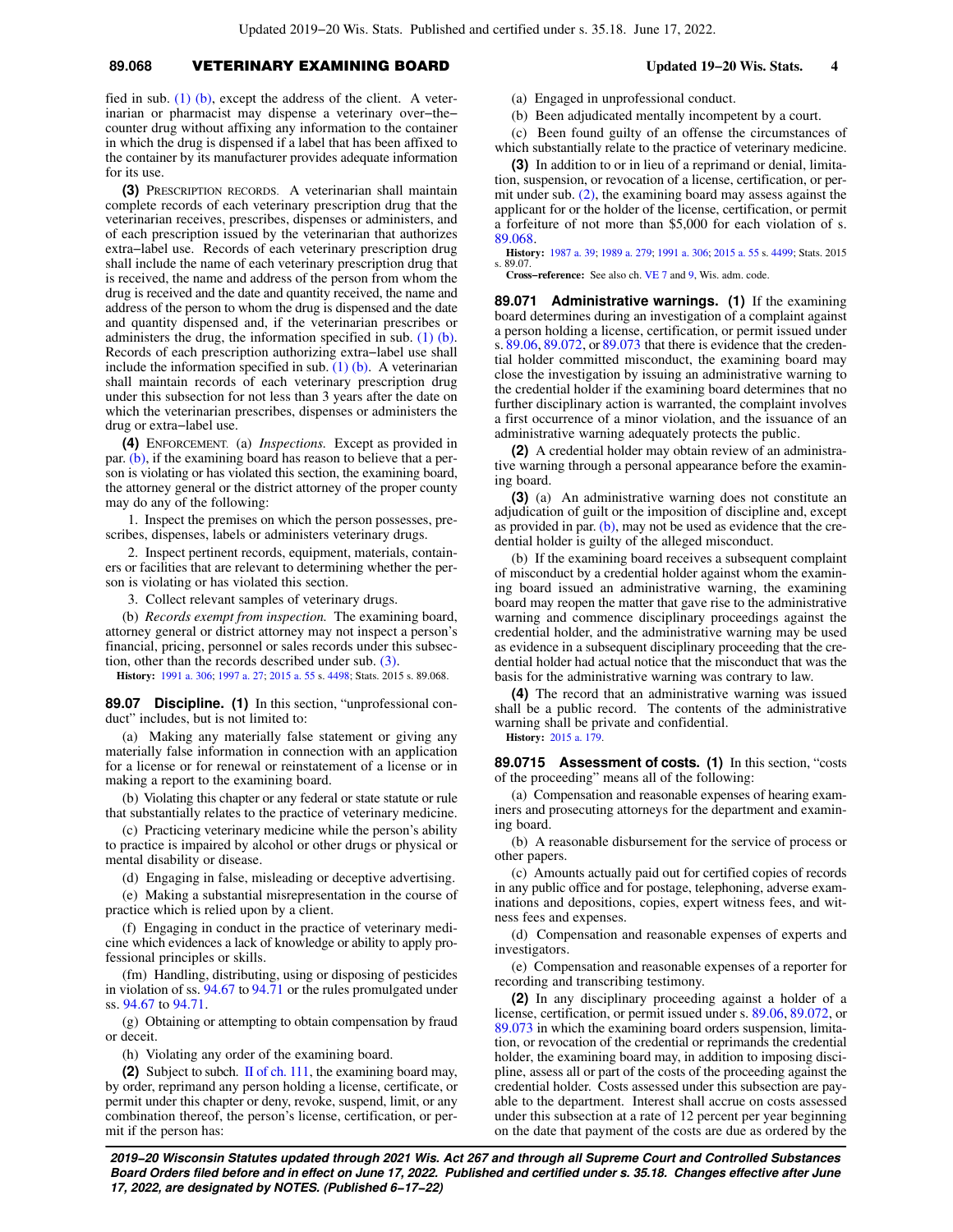## **89.068** VETERINARY EXAMINING BOARD **Updated 19−20 Wis. Stats. 4**

fied in sub.  $(1)$  (b), except the address of the client. A veterinarian or pharmacist may dispense a veterinary over−the− counter drug without affixing any information to the container in which the drug is dispensed if a label that has been affixed to the container by its manufacturer provides adequate information for its use.

**(3)** PRESCRIPTION RECORDS. A veterinarian shall maintain complete records of each veterinary prescription drug that the veterinarian receives, prescribes, dispenses or administers, and of each prescription issued by the veterinarian that authorizes extra−label use. Records of each veterinary prescription drug shall include the name of each veterinary prescription drug that is received, the name and address of the person from whom the drug is received and the date and quantity received, the name and address of the person to whom the drug is dispensed and the date and quantity dispensed and, if the veterinarian prescribes or administers the drug, the information specified in sub. [\(1\) \(b\).](https://docs.legis.wisconsin.gov/document/statutes/89.068(1)(b)) Records of each prescription authorizing extra−label use shall include the information specified in sub.  $(1)$  (b). A veterinarian shall maintain records of each veterinary prescription drug under this subsection for not less than 3 years after the date on which the veterinarian prescribes, dispenses or administers the drug or extra−label use.

**(4)** ENFORCEMENT. (a) *Inspections.* Except as provided in par. [\(b\),](https://docs.legis.wisconsin.gov/document/statutes/89.068(4)(b)) if the examining board has reason to believe that a person is violating or has violated this section, the examining board, the attorney general or the district attorney of the proper county may do any of the following:

1. Inspect the premises on which the person possesses, prescribes, dispenses, labels or administers veterinary drugs.

2. Inspect pertinent records, equipment, materials, containers or facilities that are relevant to determining whether the person is violating or has violated this section.

3. Collect relevant samples of veterinary drugs.

(b) *Records exempt from inspection.* The examining board, attorney general or district attorney may not inspect a person's financial, pricing, personnel or sales records under this subsection, other than the records described under sub. [\(3\).](https://docs.legis.wisconsin.gov/document/statutes/89.068(3))

**History:** [1991 a. 306](https://docs.legis.wisconsin.gov/document/acts/1991/306); [1997 a. 27;](https://docs.legis.wisconsin.gov/document/acts/1997/27) [2015 a. 55](https://docs.legis.wisconsin.gov/document/acts/2015/55) s. [4498;](https://docs.legis.wisconsin.gov/document/acts/2015/55,%20s.%204498) Stats. 2015 s. 89.068.

**89.07 Discipline. (1)** In this section, "unprofessional conduct" includes, but is not limited to:

(a) Making any materially false statement or giving any materially false information in connection with an application for a license or for renewal or reinstatement of a license or in making a report to the examining board.

(b) Violating this chapter or any federal or state statute or rule that substantially relates to the practice of veterinary medicine.

(c) Practicing veterinary medicine while the person's ability to practice is impaired by alcohol or other drugs or physical or mental disability or disease.

(d) Engaging in false, misleading or deceptive advertising.

(e) Making a substantial misrepresentation in the course of practice which is relied upon by a client.

(f) Engaging in conduct in the practice of veterinary medicine which evidences a lack of knowledge or ability to apply professional principles or skills.

(fm) Handling, distributing, using or disposing of pesticides in violation of ss. [94.67](https://docs.legis.wisconsin.gov/document/statutes/94.67) to [94.71](https://docs.legis.wisconsin.gov/document/statutes/94.71) or the rules promulgated under ss. [94.67](https://docs.legis.wisconsin.gov/document/statutes/94.67) to [94.71.](https://docs.legis.wisconsin.gov/document/statutes/94.71)

(g) Obtaining or attempting to obtain compensation by fraud or deceit.

(h) Violating any order of the examining board.

**(2)** Subject to subch. [II of ch. 111,](https://docs.legis.wisconsin.gov/document/statutes/subch.%20II%20of%20ch.%20111) the examining board may, by order, reprimand any person holding a license, certificate, or permit under this chapter or deny, revoke, suspend, limit, or any combination thereof, the person's license, certification, or permit if the person has:

(a) Engaged in unprofessional conduct.

(b) Been adjudicated mentally incompetent by a court.

(c) Been found guilty of an offense the circumstances of which substantially relate to the practice of veterinary medicine.

**(3)** In addition to or in lieu of a reprimand or denial, limitation, suspension, or revocation of a license, certification, or permit under sub.  $(2)$ , the examining board may assess against the applicant for or the holder of the license, certification, or permit a forfeiture of not more than \$5,000 for each violation of s. [89.068.](https://docs.legis.wisconsin.gov/document/statutes/89.068)

**History:** [1987 a. 39;](https://docs.legis.wisconsin.gov/document/acts/1987/39) [1989 a. 279;](https://docs.legis.wisconsin.gov/document/acts/1989/279) [1991 a. 306](https://docs.legis.wisconsin.gov/document/acts/1991/306); [2015 a. 55](https://docs.legis.wisconsin.gov/document/acts/2015/55) s. [4499;](https://docs.legis.wisconsin.gov/document/acts/2015/55,%20s.%204499) Stats. 2015 s. 89.07.

**Cross−reference:** See also ch. [VE 7](https://docs.legis.wisconsin.gov/document/administrativecode/ch.%20VE%207) and [9](https://docs.legis.wisconsin.gov/document/administrativecode/ch.%20VE%209), Wis. adm. code.

**89.071 Administrative warnings. (1)** If the examining board determines during an investigation of a complaint against a person holding a license, certification, or permit issued under s. [89.06,](https://docs.legis.wisconsin.gov/document/statutes/89.06) [89.072](https://docs.legis.wisconsin.gov/document/statutes/89.072), or [89.073](https://docs.legis.wisconsin.gov/document/statutes/89.073) that there is evidence that the credential holder committed misconduct, the examining board may close the investigation by issuing an administrative warning to the credential holder if the examining board determines that no further disciplinary action is warranted, the complaint involves a first occurrence of a minor violation, and the issuance of an administrative warning adequately protects the public.

**(2)** A credential holder may obtain review of an administrative warning through a personal appearance before the examining board.

**(3)** (a) An administrative warning does not constitute an adjudication of guilt or the imposition of discipline and, except as provided in par. [\(b\),](https://docs.legis.wisconsin.gov/document/statutes/89.071(3)(b)) may not be used as evidence that the credential holder is guilty of the alleged misconduct.

(b) If the examining board receives a subsequent complaint of misconduct by a credential holder against whom the examining board issued an administrative warning, the examining board may reopen the matter that gave rise to the administrative warning and commence disciplinary proceedings against the credential holder, and the administrative warning may be used as evidence in a subsequent disciplinary proceeding that the credential holder had actual notice that the misconduct that was the basis for the administrative warning was contrary to law.

**(4)** The record that an administrative warning was issued shall be a public record. The contents of the administrative warning shall be private and confidential.

**History:** [2015 a. 179.](https://docs.legis.wisconsin.gov/document/acts/2015/179)

**89.0715 Assessment of costs. (1)** In this section, "costs of the proceeding" means all of the following:

(a) Compensation and reasonable expenses of hearing examiners and prosecuting attorneys for the department and examining board.

(b) A reasonable disbursement for the service of process or other papers.

(c) Amounts actually paid out for certified copies of records in any public office and for postage, telephoning, adverse examinations and depositions, copies, expert witness fees, and witness fees and expenses.

(d) Compensation and reasonable expenses of experts and investigators.

(e) Compensation and reasonable expenses of a reporter for recording and transcribing testimony.

**(2)** In any disciplinary proceeding against a holder of a license, certification, or permit issued under s. [89.06,](https://docs.legis.wisconsin.gov/document/statutes/89.06) [89.072,](https://docs.legis.wisconsin.gov/document/statutes/89.072) or [89.073](https://docs.legis.wisconsin.gov/document/statutes/89.073) in which the examining board orders suspension, limitation, or revocation of the credential or reprimands the credential holder, the examining board may, in addition to imposing discipline, assess all or part of the costs of the proceeding against the credential holder. Costs assessed under this subsection are payable to the department. Interest shall accrue on costs assessed under this subsection at a rate of 12 percent per year beginning on the date that payment of the costs are due as ordered by the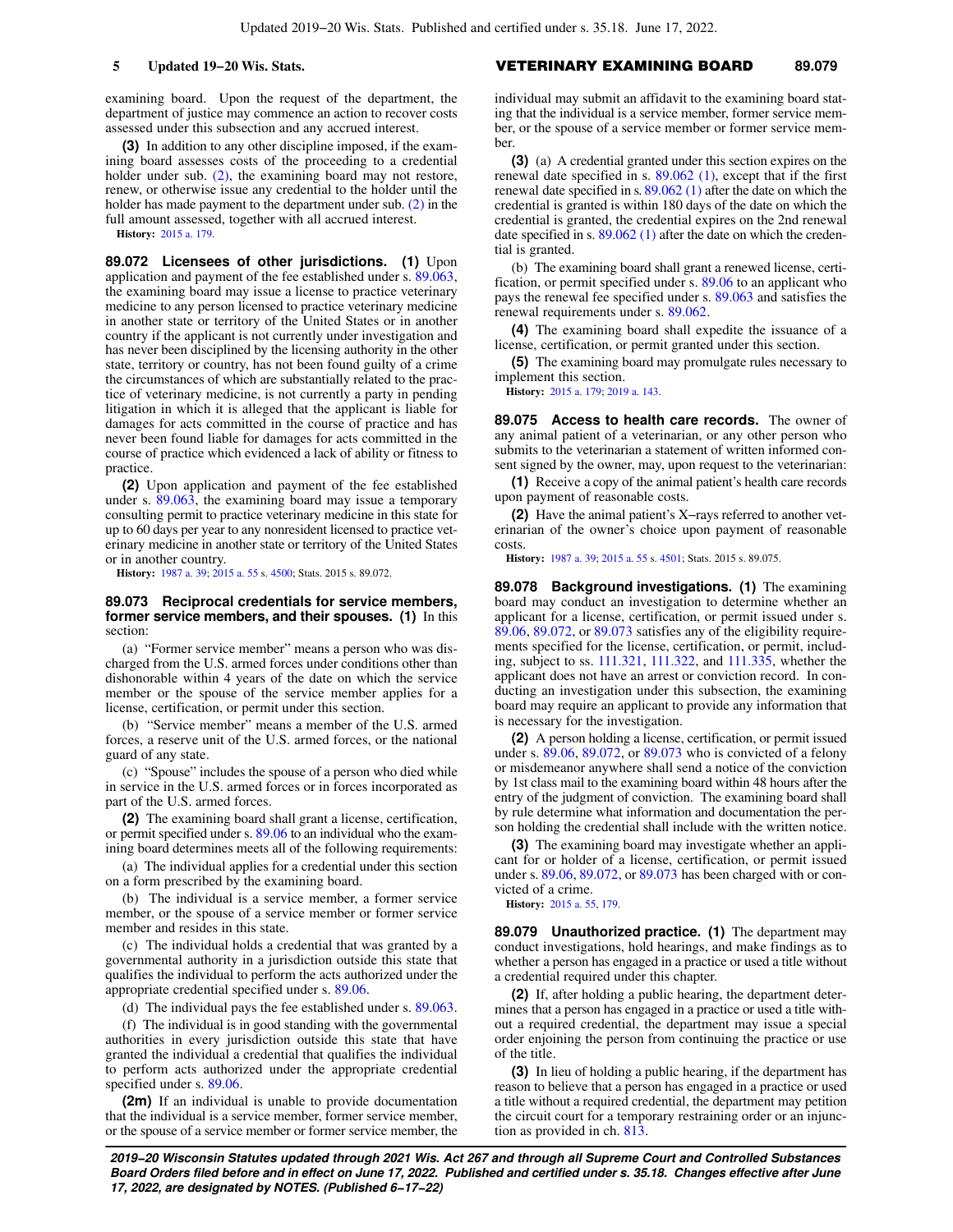examining board. Upon the request of the department, the department of justice may commence an action to recover costs assessed under this subsection and any accrued interest.

**(3)** In addition to any other discipline imposed, if the examining board assesses costs of the proceeding to a credential holder under sub. [\(2\)](https://docs.legis.wisconsin.gov/document/statutes/89.0715(2)), the examining board may not restore, renew, or otherwise issue any credential to the holder until the holder has made payment to the department under sub. [\(2\)](https://docs.legis.wisconsin.gov/document/statutes/89.0715(2)) in the full amount assessed, together with all accrued interest.

**History:** [2015 a. 179](https://docs.legis.wisconsin.gov/document/acts/2015/179).

**89.072 Licensees of other jurisdictions. (1)** Upon application and payment of the fee established under s. [89.063,](https://docs.legis.wisconsin.gov/document/statutes/89.063) the examining board may issue a license to practice veterinary medicine to any person licensed to practice veterinary medicine in another state or territory of the United States or in another country if the applicant is not currently under investigation and has never been disciplined by the licensing authority in the other state, territory or country, has not been found guilty of a crime the circumstances of which are substantially related to the practice of veterinary medicine, is not currently a party in pending litigation in which it is alleged that the applicant is liable for damages for acts committed in the course of practice and has never been found liable for damages for acts committed in the course of practice which evidenced a lack of ability or fitness to practice.

**(2)** Upon application and payment of the fee established under s. [89.063](https://docs.legis.wisconsin.gov/document/statutes/89.063), the examining board may issue a temporary consulting permit to practice veterinary medicine in this state for up to 60 days per year to any nonresident licensed to practice veterinary medicine in another state or territory of the United States or in another country.

**History:** [1987 a. 39;](https://docs.legis.wisconsin.gov/document/acts/1987/39) [2015 a. 55](https://docs.legis.wisconsin.gov/document/acts/2015/55) s. [4500](https://docs.legis.wisconsin.gov/document/acts/2015/55,%20s.%204500); Stats. 2015 s. 89.072.

#### **89.073 Reciprocal credentials for service members, former service members, and their spouses. (1)** In this section:

(a) "Former service member" means a person who was discharged from the U.S. armed forces under conditions other than dishonorable within 4 years of the date on which the service member or the spouse of the service member applies for a license, certification, or permit under this section.

(b) "Service member" means a member of the U.S. armed forces, a reserve unit of the U.S. armed forces, or the national guard of any state.

(c) "Spouse" includes the spouse of a person who died while in service in the U.S. armed forces or in forces incorporated as part of the U.S. armed forces.

**(2)** The examining board shall grant a license, certification, or permit specified under s. [89.06](https://docs.legis.wisconsin.gov/document/statutes/89.06) to an individual who the examining board determines meets all of the following requirements:

(a) The individual applies for a credential under this section on a form prescribed by the examining board.

(b) The individual is a service member, a former service member, or the spouse of a service member or former service member and resides in this state.

(c) The individual holds a credential that was granted by a governmental authority in a jurisdiction outside this state that qualifies the individual to perform the acts authorized under the appropriate credential specified under s. [89.06](https://docs.legis.wisconsin.gov/document/statutes/89.06).

(d) The individual pays the fee established under s. [89.063.](https://docs.legis.wisconsin.gov/document/statutes/89.063)

(f) The individual is in good standing with the governmental authorities in every jurisdiction outside this state that have granted the individual a credential that qualifies the individual to perform acts authorized under the appropriate credential specified under s. [89.06](https://docs.legis.wisconsin.gov/document/statutes/89.06).

**(2m)** If an individual is unable to provide documentation that the individual is a service member, former service member, or the spouse of a service member or former service member, the

### **5 Updated 19−20 Wis. Stats.** VETERINARY EXAMINING BOARD **89.079**

individual may submit an affidavit to the examining board stating that the individual is a service member, former service member, or the spouse of a service member or former service member.

**(3)** (a) A credential granted under this section expires on the renewal date specified in s. [89.062 \(1\),](https://docs.legis.wisconsin.gov/document/statutes/89.062(1)) except that if the first renewal date specified in s. [89.062 \(1\)](https://docs.legis.wisconsin.gov/document/statutes/89.062(1)) after the date on which the credential is granted is within 180 days of the date on which the credential is granted, the credential expires on the 2nd renewal date specified in s. [89.062 \(1\)](https://docs.legis.wisconsin.gov/document/statutes/89.062(1)) after the date on which the credential is granted.

(b) The examining board shall grant a renewed license, certification, or permit specified under s. [89.06](https://docs.legis.wisconsin.gov/document/statutes/89.06) to an applicant who pays the renewal fee specified under s. [89.063](https://docs.legis.wisconsin.gov/document/statutes/89.063) and satisfies the renewal requirements under s. [89.062](https://docs.legis.wisconsin.gov/document/statutes/89.062).

**(4)** The examining board shall expedite the issuance of a license, certification, or permit granted under this section.

**(5)** The examining board may promulgate rules necessary to implement this section.

**History:** [2015 a. 179;](https://docs.legis.wisconsin.gov/document/acts/2015/179) [2019 a. 143](https://docs.legis.wisconsin.gov/document/acts/2019/143).

**89.075 Access to health care records.** The owner of any animal patient of a veterinarian, or any other person who submits to the veterinarian a statement of written informed consent signed by the owner, may, upon request to the veterinarian:

**(1)** Receive a copy of the animal patient's health care records upon payment of reasonable costs.

**(2)** Have the animal patient's X−rays referred to another veterinarian of the owner's choice upon payment of reasonable costs.

**History:** [1987 a. 39](https://docs.legis.wisconsin.gov/document/acts/1987/39); [2015 a. 55](https://docs.legis.wisconsin.gov/document/acts/2015/55) s. [4501](https://docs.legis.wisconsin.gov/document/acts/2015/55,%20s.%204501); Stats. 2015 s. 89.075.

**89.078 Background investigations. (1)** The examining board may conduct an investigation to determine whether an applicant for a license, certification, or permit issued under s. [89.06](https://docs.legis.wisconsin.gov/document/statutes/89.06), [89.072,](https://docs.legis.wisconsin.gov/document/statutes/89.072) or [89.073](https://docs.legis.wisconsin.gov/document/statutes/89.073) satisfies any of the eligibility requirements specified for the license, certification, or permit, including, subject to ss. [111.321](https://docs.legis.wisconsin.gov/document/statutes/111.321), [111.322,](https://docs.legis.wisconsin.gov/document/statutes/111.322) and [111.335](https://docs.legis.wisconsin.gov/document/statutes/111.335), whether the applicant does not have an arrest or conviction record. In conducting an investigation under this subsection, the examining board may require an applicant to provide any information that is necessary for the investigation.

**(2)** A person holding a license, certification, or permit issued under s. [89.06,](https://docs.legis.wisconsin.gov/document/statutes/89.06) [89.072](https://docs.legis.wisconsin.gov/document/statutes/89.072), or [89.073](https://docs.legis.wisconsin.gov/document/statutes/89.073) who is convicted of a felony or misdemeanor anywhere shall send a notice of the conviction by 1st class mail to the examining board within 48 hours after the entry of the judgment of conviction. The examining board shall by rule determine what information and documentation the person holding the credential shall include with the written notice.

**(3)** The examining board may investigate whether an applicant for or holder of a license, certification, or permit issued under s. [89.06](https://docs.legis.wisconsin.gov/document/statutes/89.06), [89.072](https://docs.legis.wisconsin.gov/document/statutes/89.072), or [89.073](https://docs.legis.wisconsin.gov/document/statutes/89.073) has been charged with or convicted of a crime.

**History:** [2015 a. 55](https://docs.legis.wisconsin.gov/document/acts/2015/55), [179](https://docs.legis.wisconsin.gov/document/acts/2015/179).

**89.079 Unauthorized practice. (1)** The department may conduct investigations, hold hearings, and make findings as to whether a person has engaged in a practice or used a title without a credential required under this chapter.

**(2)** If, after holding a public hearing, the department determines that a person has engaged in a practice or used a title without a required credential, the department may issue a special order enjoining the person from continuing the practice or use of the title.

**(3)** In lieu of holding a public hearing, if the department has reason to believe that a person has engaged in a practice or used a title without a required credential, the department may petition the circuit court for a temporary restraining order or an injunction as provided in ch. [813.](https://docs.legis.wisconsin.gov/document/statutes/ch.%20813)